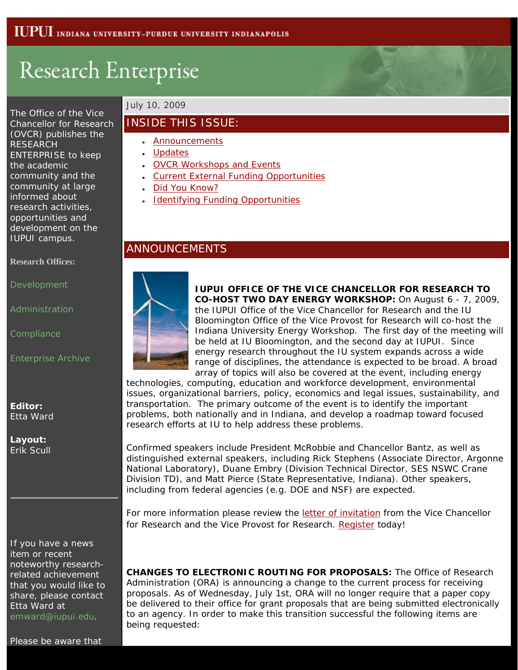# Research Enterprise

The Office of the Vice Chancellor for Research (OVCR) publishes the RESEARCH ENTERPRISE to keep the academic community and the community at large informed about research activities, opportunities and development on the IUPUI campus.

#### <span id="page-0-0"></span>**Research Offices:**

[Development](http://research.iupui.edu/)

[Administration](http://researchadmin.iu.edu/gc.html)

**[Compliance](http://researchadmin.iu.edu/cs.html)** 

[Enterprise Archive](http://research.iupui.edu/enterprise/archive/archive.htm)

**Editor:** Etta Ward

**Layout:** Erik Scull

If you have a news item or recent noteworthy researchrelated achievement that you would like to share, please contact Etta Ward at [emward@iupui.edu](mailto:emward@iupui.edu).

## July 10, 2009

## INSIDE THIS ISSUE:

- [Announcements](#page-0-0)
- [Updates](#page-1-0)
- [OVCR Workshops and Events](#page-1-1)
- [Current External Funding Opportunities](#page-2-0)
- [Did You Know?](#page-2-1)
- [Identifying Funding Opportunities](#page-3-0)

## ANNOUNCEMENTS



**IUPUI OFFICE OF THE VICE CHANCELLOR FOR RESEARCH TO CO-HOST TWO DAY ENERGY WORKSHOP:** On August 6 - 7, 2009, the IUPUI Office of the Vice Chancellor for Research and the IU Bloomington Office of the Vice Provost for Research will co-host the Indiana University Energy Workshop. The first day of the meeting will be held at IU Bloomington, and the second day at IUPUI. Since energy research throughout the IU system expands across a wide range of disciplines, the attendance is expected to be broad. A broad array of topics will also be covered at the event, including energy

technologies, computing, education and workforce development, environmental issues, organizational barriers, policy, economics and legal issues, sustainability, and transportation. The primary outcome of the event is to identify the important problems, both nationally and in Indiana, and develop a roadmap toward focused research efforts at IU to help address these problems.

Confirmed speakers include President McRobbie and Chancellor Bantz, as well as distinguished external speakers, including Rick Stephens (Associate Director, Argonne National Laboratory), Duane Embry (Division Technical Director, SES NSWC Crane Division TD), and Matt Pierce (State Representative, Indiana). Other speakers, including from federal agencies (e.g. DOE and NSF) are expected.

For more information please review the [letter of invitation](http://research.iupui.edu/enterprise/archive/2009/IU_Energy_Workshop.doc) from the Vice Chancellor for Research and the Vice Provost for Research. [Register](http://www.surveymonkey.com/s.aspx?sm=uoaM83aCIlGroN45FTWZxw_3d_3d) today!

**CHANGES TO ELECTRONIC ROUTING FOR PROPOSALS:** The Office of Research Administration (ORA) is announcing a change to the current process for receiving proposals. As of Wednesday, July 1st, ORA will no longer require that a paper copy be delivered to their office for grant proposals that are being submitted electronically to an agency. In order to make this transition successful the following items are being requested: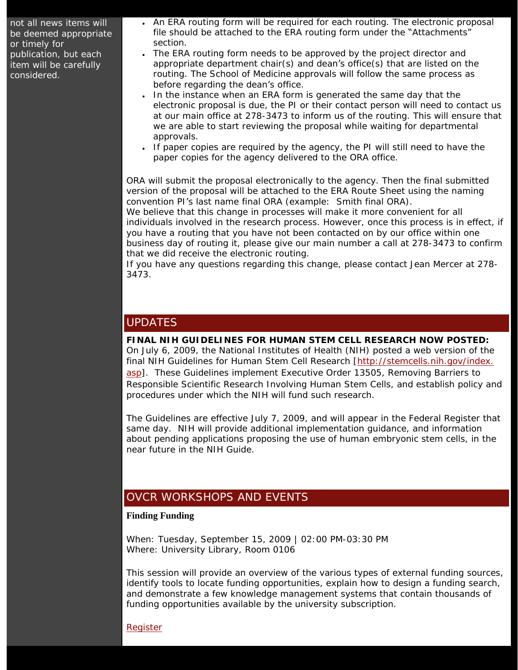not all news items will be deemed appropriate or timely for publication, but each item will be carefully considered.

- An ERA routing form will be required for each routing. The electronic proposal file should be attached to the ERA routing form under the "Attachments" section.
- The ERA routing form needs to be approved by the project director and appropriate department chair(s) and dean's office(s) that are listed on the routing. The School of Medicine approvals will follow the same process as before regarding the dean's office.
- In the instance when an ERA form is generated the same day that the electronic proposal is due, the PI or their contact person will need to contact us at our main office at 278-3473 to inform us of the routing. This will ensure that we are able to start reviewing the proposal while waiting for departmental approvals.
- If paper copies are required by the agency, the PI will still need to have the paper copies for the agency delivered to the ORA office.

ORA will submit the proposal electronically to the agency. Then the final submitted version of the proposal will be attached to the ERA Route Sheet using the naming convention PI's last name final ORA (example: Smith final ORA).

We believe that this change in processes will make it more convenient for all individuals involved in the research process. However, once this process is in effect, if you have a routing that you have not been contacted on by our office within one business day of routing it, please give our main number a call at 278-3473 to confirm that we did receive the electronic routing.

If you have any questions regarding this change, please contact Jean Mercer at 278- 3473.

# <span id="page-1-0"></span>UPDATES

**FINAL NIH GUIDELINES FOR HUMAN STEM CELL RESEARCH NOW POSTED:**  On July 6, 2009, the National Institutes of Health (NIH) posted a web version of the final NIH Guidelines for Human Stem Cell Research [\[http://stemcells.nih.gov/index.](http://stemcells.nih.gov/index.asp) [asp](http://stemcells.nih.gov/index.asp)]. These Guidelines implement Executive Order 13505, *Removing Barriers to Responsible Scientific Research Involving Human Stem Cells*, and establish policy and procedures under which the NIH will fund such research.

The Guidelines are effective July 7, 2009, and will appear in the Federal Register that same day. NIH will provide additional implementation guidance, and information about pending applications proposing the use of human embryonic stem cells, in the near future in the NIH Guide.

# <span id="page-1-1"></span>OVCR WORKSHOPS AND EVENTS

#### **Finding Funding**

When: Tuesday, September 15, 2009 | 02:00 PM-03:30 PM Where: University Library, Room 0106

This session will provide an overview of the various types of external funding sources, identify tools to locate funding opportunities, explain how to design a funding search, and demonstrate a few knowledge management systems that contain thousands of funding opportunities available by the university subscription.

**[Register](http://faa.iupui.edu/events/eventsRegistration.asp?id=1607)**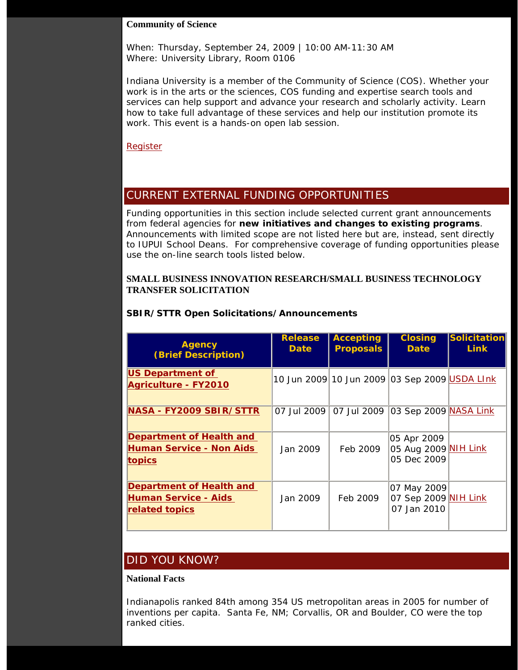#### **Community of Science**

When: Thursday, September 24, 2009 | 10:00 AM-11:30 AM Where: University Library, Room 0106

Indiana University is a member of the Community of Science (COS). Whether your work is in the arts or the sciences, COS funding and expertise search tools and services can help support and advance your research and scholarly activity. Learn how to take full advantage of these services and help our institution promote its work. This event is a hands-on open lab session.

[Register](http://faa.iupui.edu/events/eventsRegistration.asp?id=1607)

# <span id="page-2-0"></span>CURRENT EXTERNAL FUNDING OPPORTUNITIES

Funding opportunities in this section include selected current grant announcements from federal agencies for **new initiatives and changes to existing programs**. Announcements with limited scope are not listed here but are, instead, sent directly to IUPUI School Deans. For comprehensive coverage of funding opportunities please use the on-line search tools listed below.

#### **SMALL BUSINESS INNOVATION RESEARCH/SMALL BUSINESS TECHNOLOGY TRANSFER SOLICITATION**

| <b>Agency</b><br><b>(Brief Description)</b>                               | <b>Release</b><br><b>Date</b> | <b>Accepting</b><br><b>Proposals</b> | <b>Closing</b><br><b>Date</b>                      | <b>Solicitation</b><br>Link |
|---------------------------------------------------------------------------|-------------------------------|--------------------------------------|----------------------------------------------------|-----------------------------|
| <b>US Department of</b><br><b>Agriculture - FY2010</b>                    |                               |                                      | 10 Jun 2009 10 Jun 2009 03 Sep 2009 USDA LInk      |                             |
| NASA - FY2009 SBIR/STTR                                                   |                               | 07 Jul 2009 07 Jul 2009              | 03 Sep 2009 NASA Link                              |                             |
| <b>Department of Health and</b><br>Human Service - Non Aids<br>topics     | Jan 2009                      | Feb 2009                             | 05 Apr 2009<br>05 Aug 2009 NIH Link<br>05 Dec 2009 |                             |
| <b>Department of Health and</b><br>Human Service - Aids<br>related topics | Jan 2009                      | Feb 2009                             | 07 May 2009<br>07 Sep 2009 NIH Link<br>07 Jan 2010 |                             |

### **SBIR/STTR Open Solicitations/Announcements**

# <span id="page-2-1"></span>DID YOU KNOW?

#### **National Facts**

Indianapolis ranked 84th among 354 US metropolitan areas in 2005 for number of inventions per capita. Santa Fe, NM; Corvallis, OR and Boulder, CO were the top ranked cities.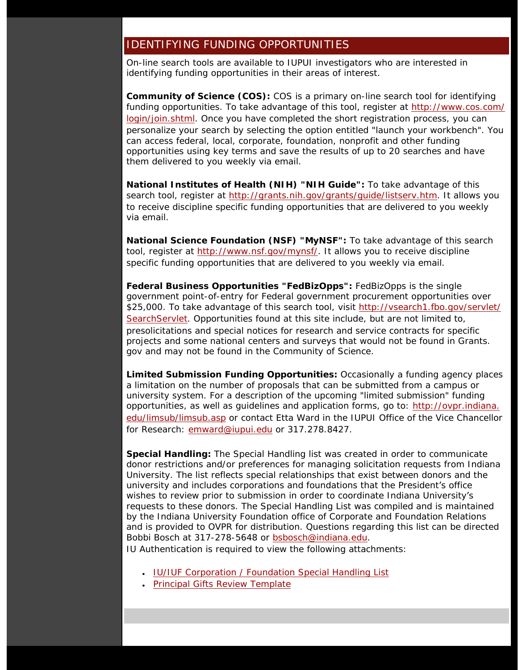## <span id="page-3-0"></span>IDENTIFYING FUNDING OPPORTUNITIES

On-line search tools are available to IUPUI investigators who are interested in identifying funding opportunities in their areas of interest.

**Community of Science (COS):** COS is a primary on-line search tool for identifying funding opportunities. To take advantage of this tool, register at [http://www.cos.com/](http://www.cos.com/login/join.shtml) [login/join.shtml](http://www.cos.com/login/join.shtml). Once you have completed the short registration process, you can personalize your search by selecting the option entitled "launch your workbench". You can access federal, local, corporate, foundation, nonprofit and other funding opportunities using key terms and save the results of up to 20 searches and have them delivered to you weekly via email.

**National Institutes of Health (NIH) "NIH Guide":** To take advantage of this search tool, register at [http://grants.nih.gov/grants/guide/listserv.htm.](http://grants.nih.gov/grants/guide/listserv.htm) It allows you to receive discipline specific funding opportunities that are delivered to you weekly via email.

**National Science Foundation (NSF) "MyNSF":** To take advantage of this search tool, register at [http://www.nsf.gov/mynsf/.](http://www.nsf.gov/mynsf/) It allows you to receive discipline specific funding opportunities that are delivered to you weekly via email.

**Federal Business Opportunities "FedBizOpps":** FedBizOpps is the single government point-of-entry for Federal government procurement opportunities over \$25,000. To take advantage of this search tool, visit [http://vsearch1.fbo.gov/servlet/](http://vsearch1.fbo.gov/servlet/SearchServlet) [SearchServlet.](http://vsearch1.fbo.gov/servlet/SearchServlet) Opportunities found at this site include, but are not limited to, presolicitations and special notices for research and service contracts for specific projects and some national centers and surveys that would not be found in Grants. gov and may not be found in the Community of Science.

**Limited Submission Funding Opportunities:** Occasionally a funding agency places a limitation on the number of proposals that can be submitted from a campus or university system. For a description of the upcoming "limited submission" funding opportunities, as well as guidelines and application forms, go to: [http://ovpr.indiana.](http://ovpr.indiana.edu/limsub/limsub.asp) [edu/limsub/limsub.asp](http://ovpr.indiana.edu/limsub/limsub.asp) or contact Etta Ward in the IUPUI Office of the Vice Chancellor for Research: [emward@iupui.edu](mailto:emward@iupui.edu) or 317.278.8427.

**Special Handling:** The Special Handling list was created in order to communicate donor restrictions and/or preferences for managing solicitation requests from Indiana University. The list reflects special relationships that exist between donors and the university and includes corporations and foundations that the President's office wishes to review prior to submission in order to coordinate Indiana University's requests to these donors. The Special Handling List was compiled and is maintained by the Indiana University Foundation office of Corporate and Foundation Relations and is provided to OVPR for distribution. Questions regarding this list can be directed Bobbi Bosch at 317-278-5648 or [bsbosch@indiana.edu](mailto:bsbosch@indiana.edu).

IU Authentication is required to view the following attachments:

- [IU/IUF Corporation / Foundation Special Handling List](https://cas.iu.edu/cas/login?cassvc=IU&casurl=https://www.iupui.edu/~resdevin/_Assets/iuf_special_handling_principal_gifts_10_08.xlsx)
- [Principal Gifts Review Template](https://cas.iu.edu/cas/login?cassvc=IU&casurl=https://www.iupui.edu/~resdevin/_Assets/principal_gifts_review_template.doc)